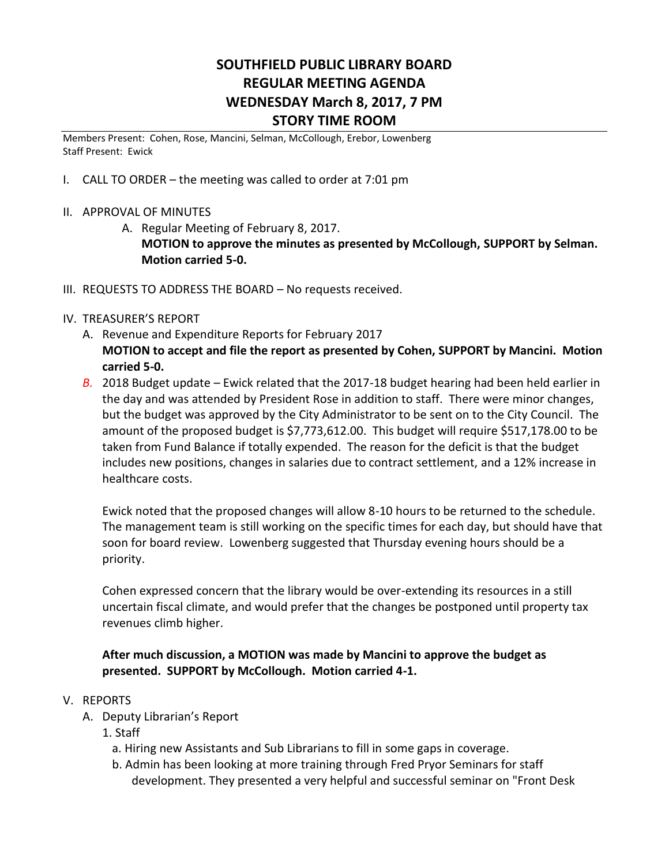# **SOUTHFIELD PUBLIC LIBRARY BOARD REGULAR MEETING AGENDA WEDNESDAY March 8, 2017, 7 PM STORY TIME ROOM**

Members Present: Cohen, Rose, Mancini, Selman, McCollough, Erebor, Lowenberg Staff Present: Ewick

- I. CALL TO ORDER the meeting was called to order at 7:01 pm
- II. APPROVAL OF MINUTES
	- A. Regular Meeting of February 8, 2017.

**MOTION to approve the minutes as presented by McCollough, SUPPORT by Selman. Motion carried 5-0.**

III. REQUESTS TO ADDRESS THE BOARD – No requests received.

#### IV. TREASURER'S REPORT

- A. Revenue and Expenditure Reports for February 2017 **MOTION to accept and file the report as presented by Cohen, SUPPORT by Mancini. Motion carried 5-0.**
- *B.* 2018 Budget update Ewick related that the 2017-18 budget hearing had been held earlier in the day and was attended by President Rose in addition to staff. There were minor changes, but the budget was approved by the City Administrator to be sent on to the City Council. The amount of the proposed budget is \$7,773,612.00. This budget will require \$517,178.00 to be taken from Fund Balance if totally expended. The reason for the deficit is that the budget includes new positions, changes in salaries due to contract settlement, and a 12% increase in healthcare costs.

Ewick noted that the proposed changes will allow 8-10 hours to be returned to the schedule. The management team is still working on the specific times for each day, but should have that soon for board review. Lowenberg suggested that Thursday evening hours should be a priority.

Cohen expressed concern that the library would be over-extending its resources in a still uncertain fiscal climate, and would prefer that the changes be postponed until property tax revenues climb higher.

### **After much discussion, a MOTION was made by Mancini to approve the budget as presented. SUPPORT by McCollough. Motion carried 4-1.**

#### V. REPORTS

- A. Deputy Librarian's Report
	- 1. Staff
		- a. Hiring new Assistants and Sub Librarians to fill in some gaps in coverage.
		- b. Admin has been looking at more training through Fred Pryor Seminars for staff development. They presented a very helpful and successful seminar on "Front Desk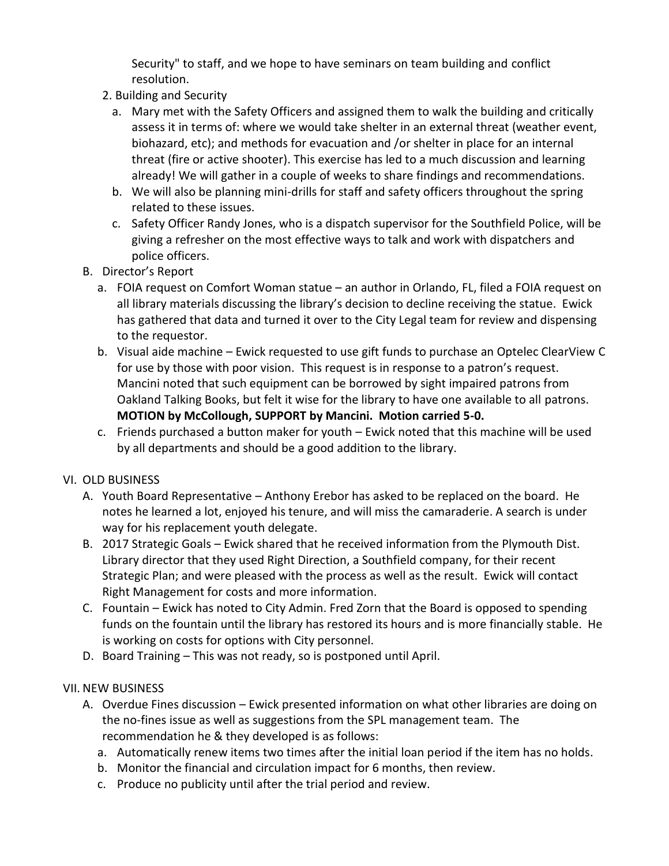Security" to staff, and we hope to have seminars on team building and conflict resolution.

- 2. Building and Security
	- a. Mary met with the Safety Officers and assigned them to walk the building and critically assess it in terms of: where we would take shelter in an external threat (weather event, biohazard, etc); and methods for evacuation and /or shelter in place for an internal threat (fire or active shooter). This exercise has led to a much discussion and learning already! We will gather in a couple of weeks to share findings and recommendations.
	- b. We will also be planning mini-drills for staff and safety officers throughout the spring related to these issues.
	- c. Safety Officer Randy Jones, who is a dispatch supervisor for the Southfield Police, will be giving a refresher on the most effective ways to talk and work with dispatchers and police officers.
- B. Director's Report
	- a. FOIA request on Comfort Woman statue an author in Orlando, FL, filed a FOIA request on all library materials discussing the library's decision to decline receiving the statue. Ewick has gathered that data and turned it over to the City Legal team for review and dispensing to the requestor.
	- b. Visual aide machine Ewick requested to use gift funds to purchase an Optelec ClearView C for use by those with poor vision. This request is in response to a patron's request. Mancini noted that such equipment can be borrowed by sight impaired patrons from Oakland Talking Books, but felt it wise for the library to have one available to all patrons. **MOTION by McCollough, SUPPORT by Mancini. Motion carried 5-0.**
	- c. Friends purchased a button maker for youth Ewick noted that this machine will be used by all departments and should be a good addition to the library.

### VI. OLD BUSINESS

- A. Youth Board Representative Anthony Erebor has asked to be replaced on the board. He notes he learned a lot, enjoyed his tenure, and will miss the camaraderie. A search is under way for his replacement youth delegate.
- B. 2017 Strategic Goals Ewick shared that he received information from the Plymouth Dist. Library director that they used Right Direction, a Southfield company, for their recent Strategic Plan; and were pleased with the process as well as the result. Ewick will contact Right Management for costs and more information.
- C. Fountain Ewick has noted to City Admin. Fred Zorn that the Board is opposed to spending funds on the fountain until the library has restored its hours and is more financially stable. He is working on costs for options with City personnel.
- D. Board Training This was not ready, so is postponed until April.

# VII. NEW BUSINESS

- A. Overdue Fines discussion Ewick presented information on what other libraries are doing on the no-fines issue as well as suggestions from the SPL management team. The recommendation he & they developed is as follows:
	- a. Automatically renew items two times after the initial loan period if the item has no holds.
	- b. Monitor the financial and circulation impact for 6 months, then review.
	- c. Produce no publicity until after the trial period and review.